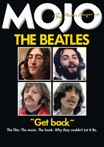# HE BEATLES





The Music Magnie





### "Get back"

#### The film. The music. The book. Why they couldn't Let It Be.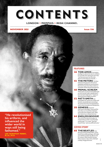## CONTENTS

#### **LONDON + MEMPHIS + IRISH CHANNEL**

**NOVEMBER 2021** 

**Issue 336** 

#### **FEATURES**

- **36 TORI AMOS** From piano prodigy to subversive star to cultdom in Cornwall, she's gone her own way: "Just because you can fill a slot, doesn't mean that you should..."
- **42 THE METERS** The New Orleans funk pioneers thrived on telepathy and fell out over business. Now lost music from their midst is a reminder of their bewitching genius.

#### **48 PRIMAL SCREAM**

Thirty years on, how Screamadelica got on one, turned 'indie' upside down... but exacted a high price. "It goes to show just how fragile we all are."

**52 PATTI SMITH Her** 

irresistible rise, punk rock, Dylan and Hendrix, by bandmate Lenny Kaye. An extract from his new book about rock's most incandescent flashpoints.

**58 GENESIS** Exclusive interviews with Mike, Tony and Phil. How they survived Peter Gabriel's exit to become stadium stars. Why their latest tour is likely their last.

"He revolutionised

his artform, and influenced the wider world in ways still being fathomed."

**LEE 'SCRATCH' PERRY, R.I.P., P114** 



#### **64 ENDLESS BOOGIE**

The rock riff as atavistic prayer, as mastered by an über-record junkie and his pals. "It's crude," they tell David Fricke, "and very difficult to do."

#### **COVER STORY**

#### **68 THE BEATLES HOW**

the upcoming Get Back films, and a brand new audio package, will make you rethink Let It Be, the album and its context. With Paul McCartney, Peter Jackson, Glyn Johns, Michael Lindsay-Hogg and more.

MOJO 3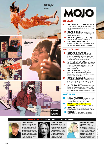**Circuit Des Yeux's Haley Fohr gets** airborne: Albums, page 90.







#### **REGULARS**

9

- **ALL BACK TO MY PLACE** Snail Mail, Don McLean and Barry Adamson rave over their ultimate tracks. But who's the Mungo Jerry nut?
- **114 REAL GONE** Lee 'Scratch' Perry, Don Everly, Nanci Griffith, Tom T. Hall and many more, thanks for everything.
- **120 ASK MOJO** Who played live with just a minute's notice? Read on and find out!
- **122 HELLO GOODBYE** From the happiest days to heartbreak: Maggie Bell recalls the beginning and end of Stone The Crows.

#### **WHAT GOES ON!**

- 14 **CHARLIE WATTS** Over six pages, Mat Snow says farewell to the Stones' irreplaceable, ever-swinging drummer and his idiosyncratic genius. Plus, Charlie's finest beats, and memories of personal encounters.
- 20 **LITTLE STEVEN** Stevie Van Zandt has written his memoir, Unrequited Infatuations. We get the lowdown from the man himself on rock, soul, Springsteen and the buffoons still running the world.
- 22 **BIG THIEF** The Brooklyn indie four stretch out on a new 20-track album. Expect bombast, country, serenity and mikes made out of plastic fruit, they tell us.
- **ROGER TAYLOR In Confidential** 24 mood, Queen's drummer talks lockdown bursts of creativity, outsiderdom and when he nearly formed a band with Mick Ronson and Ian Hunter.
- 28 **SHEL TALMY** He was the feedback king of punchy production who directed early classics for The Who and The Kinks. But where's he been for the past 50 years? Cult Hero Shel tells all!

#### **MOJO FILTER**

- **NEW ALBUMS** The War On Drugs 82 still chasing the dream, plus My Morning Jacket, Tricky's Lonely Guest and many more.
- **REISSUES** Joni Mitchell's second 96 archive dive, The Charlatans, Fania and more.
- **108 BOOKS** Shane MacGowan's furious devotion, Barry Adamson's memoir and more.
- **SCREEN** Todd Haynes's "immersive" H2. documentary on The Velvet Underground.

#### THIS MONTH'S CONTRIBUTORS INCLUDE...



#### **John Harris**

John has been writing for MOJO for 20 years, as well as covering politics at The Guardian. He's just had the fascinating experience of editing down hours of conversation caught during The Beatles' early 1969 sessions for the thumping official book that accompanies the new Get Back films. Read his findings from page 68.



#### **Lenny Kaye**

19835261651

<u>Keep moving</u>

Drugs, Lead

on: The War On

Album, page 82

Lenny is an American quitarist, composer, record producer, writer, founding member of Patti Smith And Her Band, and the compiler of Nuggets, arguably the most influential compilation album ever. His new book, Lightning Striking, tracing the key flashpoints in rock'n'roll history, is extracted from page 52.

**Janelle Barone** An illustrator based in Melbourne, Janelle Barone loves to tell visual stories and make everyday things more intriguing. She illustrates this month's Lead Album on page 83 and you can find a range of her editorial and commercial work at: www. janelle-barone.com or follow her on Instagram: @janelle.barone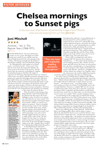### **Chelsea mornings** to Sunset pigs

In the solo years that forever cemented the image of Joni Mitchell, what was she keeping from us? Asks Jim Irvin.

#### **Joni Mitchell** \*\*\*\*

Archives - Vol. 2: The Reprise Years (1968-1971) RHINO. CD/DL/LP

BLAME BOB DYLAN. The man with buried treasure in every corner. His hugely successful Bootleg Series (itself 30 years old this year) has spawned high demand for the vault openings of the worthies. Neil Young eventually saw the benefit of showing his workings. Now Joni Mitchell is doing it.

Yet, although Joni is often spoken of as Dylan's equal – not least by herself – I don't sense in her fans the same desire that haunts the Bobnuts, the desire to get to the bottom of the mystery. And she doesn't have the numerous, mythologised, completebut-abandoned projects that litter the output of

capricious ol' Neil Young. Most Joni fans I know are content to wallow in her marvellous, officially sanctioned catalogue because, going by the material in this bigger-than-it-need-be collection, Joni, unlike Dylan, has mostly been an astute judge of her best work. She has a painter's instinct for knowing what mark to make and when to leave the canvas alone, she has clarity of tone and conjures pin-sharp imagery. If Dylan is all about sprawl and obfuscation, Joni is surely about concision and aptness. Therefore, faced with five CDs of imperfection and repetition, it's tempting to ask: what's the point of all this?



**STORY:** • This is the second volume in Joni's Mitchell's careerspanning and maybe career-closing Archive series, gathering the



"You can hear Joni implicitly making decisions throughout."

throughout this collection. A song called Jeremy is demoed, played live and recorded for Song To A Seagull, but never released. It's a bleak ditty about someone jailed for drug use, and maybe she realised that her take on crime and punishment was a little romanticised, a little patronising. She records Conversation for both Song To A Seagull and Clouds and rejects it both times. This, with previously discarded songs Blue Boy and The Priest, finally makes it onto Ladies Of The Canyon, but it's one of her duller songs. Part of her knew that.

There's a fine recording from early 1969 at Carnegie Hall ("It's long way from Saskatoon, Saskatchewan..."). The sound is good and there are several striking moments, like a medley of Circle Game and Little Green, the former an early, perfect lyric, the latter, a heartbreaker, as we know, but here a work-in-progress with a clunky chord shift in the ascent to the title line. And there's a delightful cover of Dino Valenti's love anthem, Get Together, where she reharmonises the melody, slightly throwing the

crowd she's asked to sing along. This show is worth hearing.

An earlier concert recording, from Le Hilbou Coffee House, Ottowa in March 1968, was recorded by Jimi Hendrix. (From his diary: "Talked with Joni Mitchell on the phone. I think I'll record her tonight with my excellent tape recorder, knock on wood... hmmm... can't find any wood... everything's plastic.") Once you've gotten over that crazy detail, it's unremarkable next to the Carnegie Hall show. However, a complete BBC Live In Concert recorded in December 1970, where she is joined by current old man James Taylor, is splendid, and demonstrates a marked leap forward in her sound. The way Taylor takes over the introductions once he comes on is notable: "Here's another song Joan wrote..."

Less fascinating are the scrappy tapes recorded in her friend Jane Lurie's apartment in New York's Chelsea district (as in "Woke up, it was a Chelsea morning"), including performances where her voice is inaudible, and bits of conversation you won't listen to much. Some off-air fan recordings of a John Peel session for the BBC, with stalwart British arranger John Cameron (Donovan, Bobbie Gentry) providing accompaniment are disappointingly lo-fi, though they offer an interesting anomaly: early Joni with a backing group.

Indeed, the enduring image of Joni Mitchell - flaxen-haired, flutey-voiced hippy goddess alone with her guitar or piano effectively only lasted for the few years covered by this box. Once she'd switched to Asylum Records – and after the transitional For The Roses, a more oblique Blue - she landed on her future direction with the jazz-burnished sophistication of her second masterpiece, Court & Spark, a truer direction for a woman nearing 30, raised on Lambert, Hendricks & Ross, who loved to dance. The new style required skilled, supple musicians around her. She'd never again go back to being alone in the studio. The box promises to be a handsome object (only digital files of the music were available to review) and if you're a Mitchell completist or just love owning stuff, it looks like a winner. But for the casual listener, there's rather too much here that gets in the way of the things you might wish to hear again. Team Joni could, and should, boil it down to a single disc of highlights that would make a worthy companion to the regular albums, and display the focus her fans have come to expect.

demos, outtakes, some audio vérité and three complete concert recordings (recorded by Reprise, the BBC and, er, Jimi Hendrix) from the period she was releasing records for Repriseher first four albums. Features 122 tracks, 87 songs, the rest are introductions and documentary. The complete 5-CD set is also being released digitally. A 10-LP vinyl edition will be limited to 4,000 copies.

a couple of *Blue's* other tracks. She also dropped the fine Urge For Going, her "protest song at the coming of winter". Each of the 10 she chose brought something unique to the table. Arguably, these wouldn't have. Shelving them helped make *Blue* perfect. As did abandoning an alternative approach to River, a copper-bottomed masterpiece, but here with oddly tentative French horns burbling at the end. They make it more Christmassy, perhaps, but otherwise add little value. Removing them was a smart decision. You can hear Joni implicitly making such assessments

Well, obviously, it's fascinating to hear

things that have entered into legend, like

her pitch for the title song to the movie,

of Everybody's Talkin', so someone was

right not to pursue it. There's a beautiful

unreleased song, Come To The Sunshine

(not the Van Dyke Parks tune), and the

legendary Hunter, discarded from Blue.

subtle drumming, Carey style, it feels

instantly familiar, but also too close to

With its multiple strummed acoustics and

Midnight Cowboy. It's here in two demos,

one a bit awkward, one more assured. Not

bad, but hard to imagine it having the impact

 $\odot$